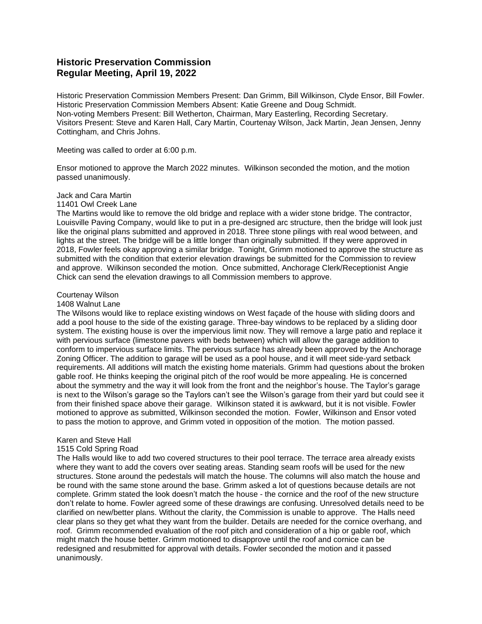# **Historic Preservation Commission Regular Meeting, April 19, 2022**

Historic Preservation Commission Members Present: Dan Grimm, Bill Wilkinson, Clyde Ensor, Bill Fowler. Historic Preservation Commission Members Absent: Katie Greene and Doug Schmidt. Non-voting Members Present: Bill Wetherton, Chairman, Mary Easterling, Recording Secretary. Visitors Present: Steve and Karen Hall, Cary Martin, Courtenay Wilson, Jack Martin, Jean Jensen, Jenny Cottingham, and Chris Johns.

Meeting was called to order at 6:00 p.m.

Ensor motioned to approve the March 2022 minutes. Wilkinson seconded the motion, and the motion passed unanimously.

## Jack and Cara Martin

### 11401 Owl Creek Lane

The Martins would like to remove the old bridge and replace with a wider stone bridge. The contractor, Louisville Paving Company, would like to put in a pre-designed arc structure, then the bridge will look just like the original plans submitted and approved in 2018. Three stone pilings with real wood between, and lights at the street. The bridge will be a little longer than originally submitted. If they were approved in 2018, Fowler feels okay approving a similar bridge. Tonight, Grimm motioned to approve the structure as submitted with the condition that exterior elevation drawings be submitted for the Commission to review and approve. Wilkinson seconded the motion. Once submitted, Anchorage Clerk/Receptionist Angie Chick can send the elevation drawings to all Commission members to approve.

#### Courtenay Wilson

#### 1408 Walnut Lane

The Wilsons would like to replace existing windows on West façade of the house with sliding doors and add a pool house to the side of the existing garage. Three-bay windows to be replaced by a sliding door system. The existing house is over the impervious limit now. They will remove a large patio and replace it with pervious surface (limestone pavers with beds between) which will allow the garage addition to conform to impervious surface limits. The pervious surface has already been approved by the Anchorage Zoning Officer. The addition to garage will be used as a pool house, and it will meet side-yard setback requirements. All additions will match the existing home materials. Grimm had questions about the broken gable roof. He thinks keeping the original pitch of the roof would be more appealing. He is concerned about the symmetry and the way it will look from the front and the neighbor's house. The Taylor's garage is next to the Wilson's garage so the Taylors can't see the Wilson's garage from their yard but could see it from their finished space above their garage. Wilkinson stated it is awkward, but it is not visible. Fowler motioned to approve as submitted, Wilkinson seconded the motion. Fowler, Wilkinson and Ensor voted to pass the motion to approve, and Grimm voted in opposition of the motion. The motion passed.

#### Karen and Steve Hall

#### 1515 Cold Spring Road

The Halls would like to add two covered structures to their pool terrace. The terrace area already exists where they want to add the covers over seating areas. Standing seam roofs will be used for the new structures. Stone around the pedestals will match the house. The columns will also match the house and be round with the same stone around the base. Grimm asked a lot of questions because details are not complete. Grimm stated the look doesn't match the house - the cornice and the roof of the new structure don't relate to home. Fowler agreed some of these drawings are confusing. Unresolved details need to be clarified on new/better plans. Without the clarity, the Commission is unable to approve. The Halls need clear plans so they get what they want from the builder. Details are needed for the cornice overhang, and roof. Grimm recommended evaluation of the roof pitch and consideration of a hip or gable roof, which might match the house better. Grimm motioned to disapprove until the roof and cornice can be redesigned and resubmitted for approval with details. Fowler seconded the motion and it passed unanimously.